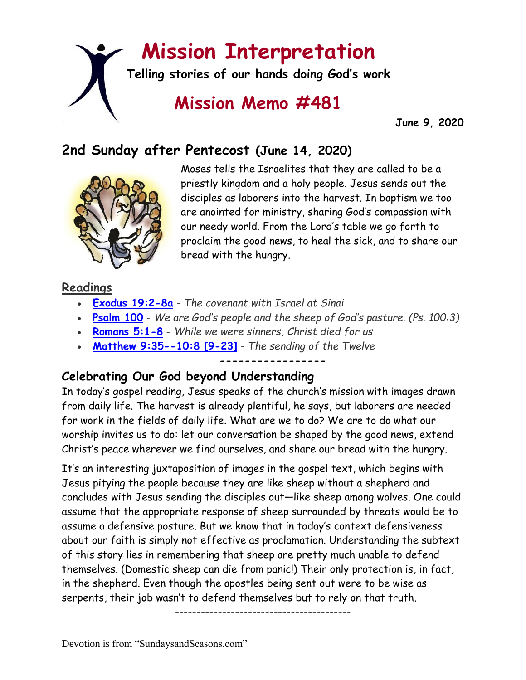# **Mission Interpretation**

**Telling stories of our hands doing God's work**

## **Mission Memo #481**

 **June 9, 2020**

## **2nd Sunday after Pentecost (June 14, 2020)**



Moses tells the Israelites that they are called to be a priestly kingdom and a holy people. Jesus sends out the disciples as laborers into the harvest. In baptism we too are anointed for ministry, sharing God's compassion with our needy world. From the Lord's table we go forth to proclaim the good news, to heal the sick, and to share our bread with the hungry.

## **Readings**

- **[Exodus 19:2-8a](https://members.sundaysandseasons.com/)** *The covenant with Israel at Sinai*
- **[Psalm 100](https://members.sundaysandseasons.com/)** *We are God's people and the sheep of God's pasture. (Ps. 100:3)*
- **[Romans 5:1-8](https://members.sundaysandseasons.com/)** *While we were sinners, Christ died for us*
- **[Matthew 9:35--10:8 \[9-23\]](https://members.sundaysandseasons.com/)** *The sending of the Twelve*

#### **-----------------**

## **Celebrating Our God beyond Understanding**

In today's gospel reading, Jesus speaks of the church's mission with images drawn from daily life. The harvest is already plentiful, he says, but laborers are needed for work in the fields of daily life. What are we to do? We are to do what our worship invites us to do: let our conversation be shaped by the good news, extend Christ's peace wherever we find ourselves, and share our bread with the hungry.

It's an interesting juxtaposition of images in the gospel text, which begins with Jesus pitying the people because they are like sheep without a shepherd and concludes with Jesus sending the disciples out—like sheep among wolves. One could assume that the appropriate response of sheep surrounded by threats would be to assume a defensive posture. But we know that in today's context defensiveness about our faith is simply not effective as proclamation. Understanding the subtext of this story lies in remembering that sheep are pretty much unable to defend themselves. (Domestic sheep can die from panic!) Their only protection is, in fact, in the shepherd. Even though the apostles being sent out were to be wise as serpents, their job wasn't to defend themselves but to rely on that truth.

-----------------------------------------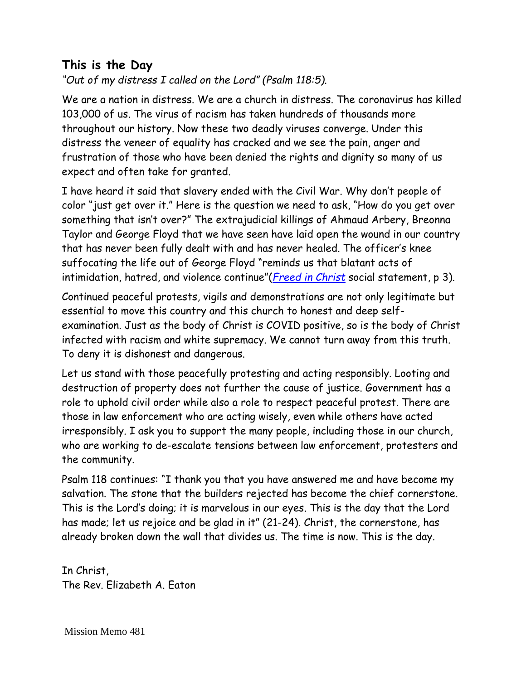## **This is the Day**

*"Out of my distress I called on the Lord" (Psalm 118:5).*

We are a nation in distress. We are a church in distress. The coronavirus has killed 103,000 of us. The virus of racism has taken hundreds of thousands more throughout our history. Now these two deadly viruses converge. Under this distress the veneer of equality has cracked and we see the pain, anger and frustration of those who have been denied the rights and dignity so many of us expect and often take for granted.

I have heard it said that slavery ended with the Civil War. Why don't people of color "just get over it." Here is the question we need to ask, "How do you get over something that isn't over?" The extrajudicial killings of Ahmaud Arbery, Breonna Taylor and George Floyd that we have seen have laid open the wound in our country that has never been fully dealt with and has never healed. The officer's knee suffocating the life out of George Floyd "reminds us that blatant acts of intimidation, hatred, and violence continue"(*[Freed in Christ](https://download.elca.org/ELCA%20Resource%20Repository/RaceSS.pdf?_ga=2.2228144.1219607925.1591302040-1376028659.1591302040)* social statement, p 3).

Continued peaceful protests, vigils and demonstrations are not only legitimate but essential to move this country and this church to honest and deep selfexamination. Just as the body of Christ is COVID positive, so is the body of Christ infected with racism and white supremacy. We cannot turn away from this truth. To deny it is dishonest and dangerous.

Let us stand with those peacefully protesting and acting responsibly. Looting and destruction of property does not further the cause of justice. Government has a role to uphold civil order while also a role to respect peaceful protest. There are those in law enforcement who are acting wisely, even while others have acted irresponsibly. I ask you to support the many people, including those in our church, who are working to de-escalate tensions between law enforcement, protesters and the community.

Psalm 118 continues: "I thank you that you have answered me and have become my salvation. The stone that the builders rejected has become the chief cornerstone. This is the Lord's doing; it is marvelous in our eyes. This is the day that the Lord has made; let us rejoice and be glad in it" (21-24). Christ, the cornerstone, has already broken down the wall that divides us. The time is now. This is the day.

In Christ, The Rev. Elizabeth A. Eaton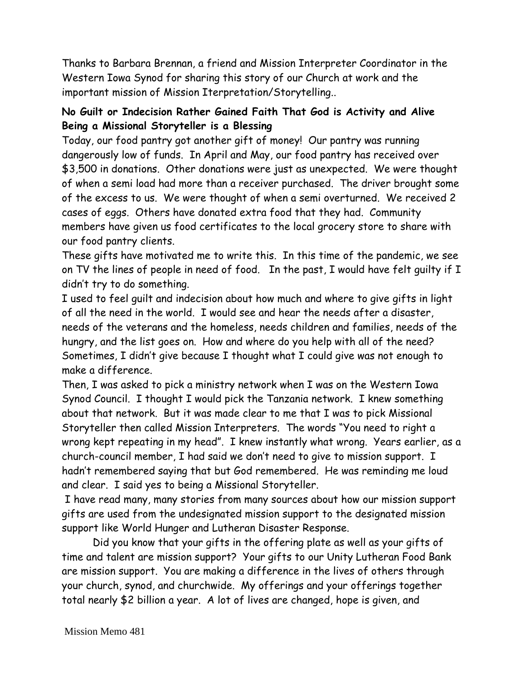Thanks to Barbara Brennan, a friend and Mission Interpreter Coordinator in the Western Iowa Synod for sharing this story of our Church at work and the important mission of Mission Iterpretation/Storytelling..

#### **No Guilt or Indecision Rather Gained Faith That God is Activity and Alive Being a Missional Storyteller is a Blessing**

Today, our food pantry got another gift of money! Our pantry was running dangerously low of funds. In April and May, our food pantry has received over \$3,500 in donations. Other donations were just as unexpected. We were thought of when a semi load had more than a receiver purchased. The driver brought some of the excess to us. We were thought of when a semi overturned. We received 2 cases of eggs. Others have donated extra food that they had. Community members have given us food certificates to the local grocery store to share with our food pantry clients.

These gifts have motivated me to write this. In this time of the pandemic, we see on TV the lines of people in need of food. In the past, I would have felt guilty if I didn't try to do something.

I used to feel guilt and indecision about how much and where to give gifts in light of all the need in the world. I would see and hear the needs after a disaster, needs of the veterans and the homeless, needs children and families, needs of the hungry, and the list goes on. How and where do you help with all of the need? Sometimes, I didn't give because I thought what I could give was not enough to make a difference.

Then, I was asked to pick a ministry network when I was on the Western Iowa Synod Council. I thought I would pick the Tanzania network. I knew something about that network. But it was made clear to me that I was to pick Missional Storyteller then called Mission Interpreters. The words "You need to right a wrong kept repeating in my head". I knew instantly what wrong. Years earlier, as a church-council member, I had said we don't need to give to mission support. I hadn't remembered saying that but God remembered. He was reminding me loud and clear. I said yes to being a Missional Storyteller.

I have read many, many stories from many sources about how our mission support gifts are used from the undesignated mission support to the designated mission support like World Hunger and Lutheran Disaster Response.

 Did you know that your gifts in the offering plate as well as your gifts of time and talent are mission support? Your gifts to our Unity Lutheran Food Bank are mission support. You are making a difference in the lives of others through your church, synod, and churchwide. My offerings and your offerings together total nearly \$2 billion a year. A lot of lives are changed, hope is given, and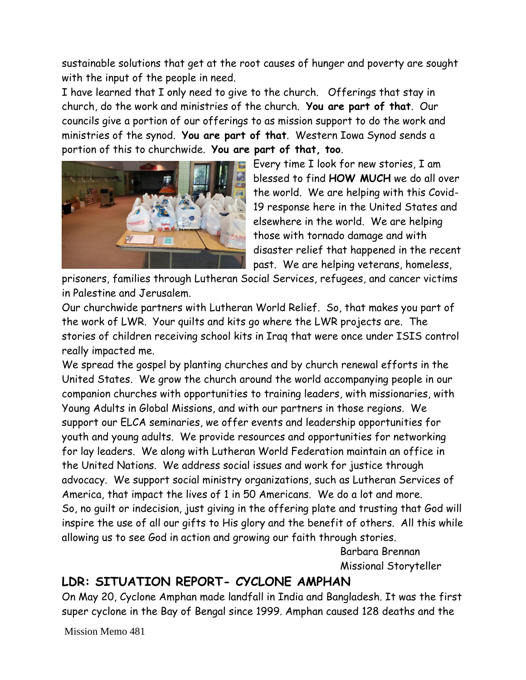sustainable solutions that get at the root causes of hunger and poverty are sought with the input of the people in need.

I have learned that I only need to give to the church. Offerings that stay in church, do the work and ministries of the church. **You are part of that**. Our councils give a portion of our offerings to as mission support to do the work and ministries of the synod. **You are part of that**. Western Iowa Synod sends a portion of this to churchwide. **You are part of that, too**.



Every time I look for new stories, I am blessed to find **HOW MUCH** we do all over the world. We are helping with this Covid-19 response here in the United States and elsewhere in the world. We are helping those with tornado damage and with disaster relief that happened in the recent past. We are helping veterans, homeless,

prisoners, families through Lutheran Social Services, refugees, and cancer victims in Palestine and Jerusalem.

Our churchwide partners with Lutheran World Relief. So, that makes you part of the work of LWR. Your quilts and kits go where the LWR projects are. The stories of children receiving school kits in Iraq that were once under ISIS control really impacted me.

We spread the gospel by planting churches and by church renewal efforts in the United States. We grow the church around the world accompanying people in our companion churches with opportunities to training leaders, with missionaries, with Young Adults in Global Missions, and with our partners in those regions. We support our ELCA seminaries, we offer events and leadership opportunities for youth and young adults. We provide resources and opportunities for networking for lay leaders. We along with Lutheran World Federation maintain an office in the United Nations. We address social issues and work for justice through advocacy. We support social ministry organizations, such as Lutheran Services of America, that impact the lives of 1 in 50 Americans. We do a lot and more. So, no guilt or indecision, just giving in the offering plate and trusting that God will inspire the use of all our gifts to His glory and the benefit of others. All this while allowing us to see God in action and growing our faith through stories.

> Barbara Brennan Missional Storyteller

## **LDR: SITUATION REPORT- CYCLONE AMPHAN**

On May 20, Cyclone Amphan made landfall in India and Bangladesh. It was the first super cyclone in the Bay of Bengal since 1999. Amphan caused 128 deaths and the

Mission Memo 481